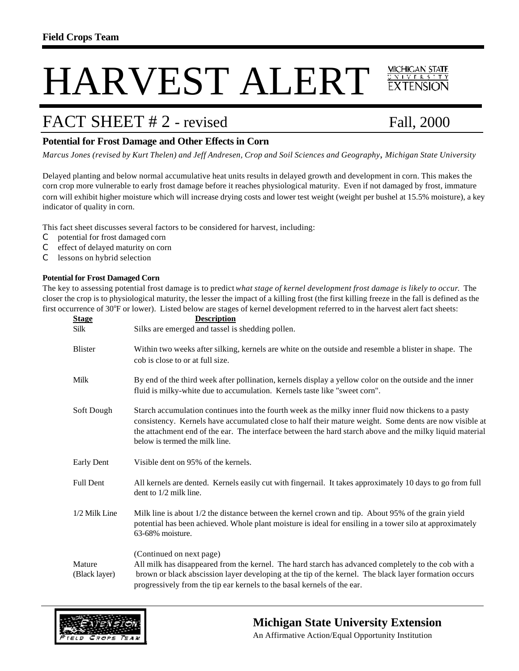# **MICHICAN STATE** HARVEST ALERT

## FACT SHEET # 2 - revised Fall, 2000

VIVER 5

### **Potential for Frost Damage and Other Effects in Corn**

*Marcus Jones (revised by Kurt Thelen) and Jeff Andresen, Crop and Soil Sciences and Geography*, *Michigan State University*

Delayed planting and below normal accumulative heat units results in delayed growth and development in corn. This makes the corn crop more vulnerable to early frost damage before it reaches physiological maturity. Even if not damaged by frost, immature corn will exhibit higher moisture which will increase drying costs and lower test weight (weight per bushel at 15.5% moisture), a key indicator of quality in corn.

This fact sheet discusses several factors to be considered for harvest, including:

- C potential for frost damaged corn
- C effect of delayed maturity on corn
- C lessons on hybrid selection

#### **Potential for Frost Damaged Corn**

The key to assessing potential frost damage is to predict *what stage of kernel development frost damage is likely to occur*. The closer the crop is to physiological maturity, the lesser the impact of a killing frost (the first killing freeze in the fall is defined as the first occurrence of 30°F or lower). Listed below are stages of kernel development referred to in the harvest alert fact sheets:

| <b>Stage</b>            | <b>Description</b>                                                                                                                                                                                                                                                                                                                                          |
|-------------------------|-------------------------------------------------------------------------------------------------------------------------------------------------------------------------------------------------------------------------------------------------------------------------------------------------------------------------------------------------------------|
| Silk                    | Silks are emerged and tassel is shedding pollen.                                                                                                                                                                                                                                                                                                            |
| <b>Blister</b>          | Within two weeks after silking, kernels are white on the outside and resemble a blister in shape. The<br>cob is close to or at full size.                                                                                                                                                                                                                   |
| Milk                    | By end of the third week after pollination, kernels display a yellow color on the outside and the inner<br>fluid is milky-white due to accumulation. Kernels taste like "sweet corn".                                                                                                                                                                       |
| Soft Dough              | Starch accumulation continues into the fourth week as the milky inner fluid now thickens to a pasty<br>consistency. Kernels have accumulated close to half their mature weight. Some dents are now visible at<br>the attachment end of the ear. The interface between the hard starch above and the milky liquid material<br>below is termed the milk line. |
| <b>Early Dent</b>       | Visible dent on 95% of the kernels.                                                                                                                                                                                                                                                                                                                         |
| <b>Full Dent</b>        | All kernels are dented. Kernels easily cut with fingernail. It takes approximately 10 days to go from full<br>dent to 1/2 milk line.                                                                                                                                                                                                                        |
| 1/2 Milk Line           | Milk line is about 1/2 the distance between the kernel crown and tip. About 95% of the grain yield<br>potential has been achieved. Whole plant moisture is ideal for ensiling in a tower silo at approximately<br>63-68% moisture.                                                                                                                          |
| Mature<br>(Black layer) | (Continued on next page)<br>All milk has disappeared from the kernel. The hard starch has advanced completely to the cob with a<br>brown or black abscission layer developing at the tip of the kernel. The black layer formation occurs<br>progressively from the tip ear kernels to the basal kernels of the ear.                                         |



### **Michigan State University Extension**

An Affirmative Action/Equal Opportunity Institution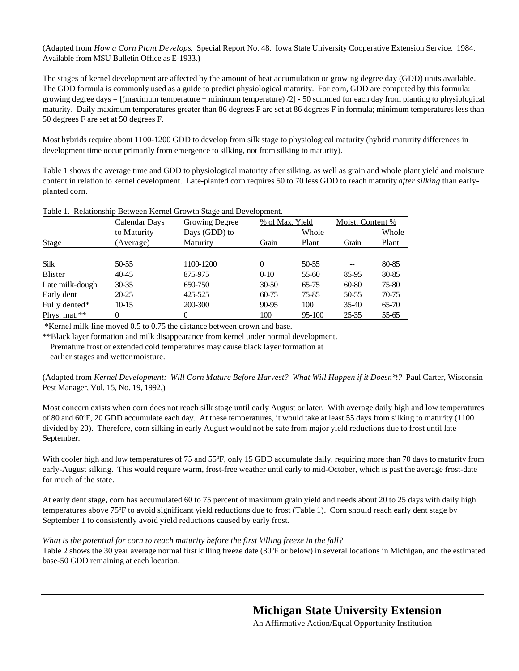(Adapted from *How a Corn Plant Develops*. Special Report No. 48. Iowa State University Cooperative Extension Service. 1984. Available from MSU Bulletin Office as E-1933.)

The stages of kernel development are affected by the amount of heat accumulation or growing degree day (GDD) units available. The GDD formula is commonly used as a guide to predict physiological maturity. For corn, GDD are computed by this formula: growing degree days =  $[(\text{maximum temperature} + \text{minimum temperature})/2] - 50$  summed for each day from planting to physiological maturity. Daily maximum temperatures greater than 86 degrees F are set at 86 degrees F in formula; minimum temperatures less than 50 degrees F are set at 50 degrees F.

Most hybrids require about 1100-1200 GDD to develop from silk stage to physiological maturity (hybrid maturity differences in development time occur primarily from emergence to silking, not from silking to maturity).

Table 1 shows the average time and GDD to physiological maturity after silking, as well as grain and whole plant yield and moisture content in relation to kernel development. Late-planted corn requires 50 to 70 less GDD to reach maturity *after silking* than earlyplanted corn.

|                 | Calendar Days | Growing Degree | % of Max. Yield |           | Moist. Content % |       |
|-----------------|---------------|----------------|-----------------|-----------|------------------|-------|
|                 | to Maturity   | Days (GDD) to  |                 | Whole     |                  | Whole |
| Stage           | (Average)     | Maturity       | Grain           | Plant     | Grain            | Plant |
|                 |               |                |                 |           |                  |       |
| <b>Silk</b>     | 50-55         | 1100-1200      | $\Omega$        | 50-55     |                  | 80-85 |
| <b>Blister</b>  | 40-45         | 875-975        | $0 - 10$        | 55-60     | 85-95            | 80-85 |
| Late milk-dough | $30 - 35$     | 650-750        | $30 - 50$       | $65 - 75$ | 60-80            | 75-80 |
| Early dent      | $20 - 25$     | 425-525        | $60 - 75$       | 75-85     | 50-55            | 70-75 |
| Fully dented*   | 10-15         | 200-300        | 90-95           | 100       | $35-40$          | 65-70 |
| Phys. mat.**    |               |                | 100             | 95-100    | 25-35            | 55-65 |

Table 1. Relationship Between Kernel Growth Stage and Development.

\*Kernel milk-line moved 0.5 to 0.75 the distance between crown and base.

\*\*Black layer formation and milk disappearance from kernel under normal development.

 Premature frost or extended cold temperatures may cause black layer formation at earlier stages and wetter moisture.

(Adapted from *Kernel Development: Will Corn Mature Before Harvest? What Will Happen if it Doesn\*t?* Paul Carter, Wisconsin Pest Manager, Vol. 15, No. 19, 1992.)

Most concern exists when corn does not reach silk stage until early August or later. With average daily high and low temperatures of 80 and 60°F, 20 GDD accumulate each day. At these temperatures, it would take at least 55 days from silking to maturity (1100) divided by 20). Therefore, corn silking in early August would not be safe from major yield reductions due to frost until late September.

With cooler high and low temperatures of 75 and 55°F, only 15 GDD accumulate daily, requiring more than 70 days to maturity from early-August silking. This would require warm, frost-free weather until early to mid-October, which is past the average frost-date for much of the state.

At early dent stage, corn has accumulated 60 to 75 percent of maximum grain yield and needs about 20 to 25 days with daily high temperatures above 75°F to avoid significant yield reductions due to frost (Table 1). Corn should reach early dent stage by September 1 to consistently avoid yield reductions caused by early frost.

#### *What is the potential for corn to reach maturity before the first killing freeze in the fall?*

Table 2 shows the 30 year average normal first killing freeze date (30°F or below) in several locations in Michigan, and the estimated base-50 GDD remaining at each location.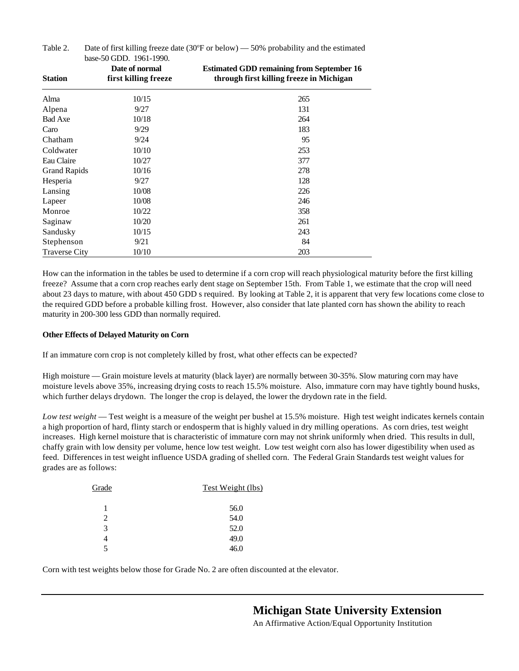| <b>Station</b>       | Date of normal<br>first killing freeze | <b>Estimated GDD remaining from September 16</b><br>through first killing freeze in Michigan |
|----------------------|----------------------------------------|----------------------------------------------------------------------------------------------|
| Alma                 | 10/15                                  | 265                                                                                          |
| Alpena               | 9/27                                   | 131                                                                                          |
| <b>Bad Axe</b>       | 10/18                                  | 264                                                                                          |
| Caro                 | 9/29                                   | 183                                                                                          |
| Chatham              | 9/24                                   | 95                                                                                           |
| Coldwater            | 10/10                                  | 253                                                                                          |
| Eau Claire           | 10/27                                  | 377                                                                                          |
| <b>Grand Rapids</b>  | 10/16                                  | 278                                                                                          |
| Hesperia             | 9/27                                   | 128                                                                                          |
| Lansing              | 10/08                                  | 226                                                                                          |
| Lapeer               | 10/08                                  | 246                                                                                          |
| Monroe               | 10/22                                  | 358                                                                                          |
| Saginaw              | 10/20                                  | 261                                                                                          |
| Sandusky             | 10/15                                  | 243                                                                                          |
| Stephenson           | 9/21                                   | 84                                                                                           |
| <b>Traverse City</b> | 10/10                                  | 203                                                                                          |

Table 2. Date of first killing freeze date  $(30^{\circ}$ F or below)  $-50\%$  probability and the estimated base-50 GDD. 1961-1990.

How can the information in the tables be used to determine if a corn crop will reach physiological maturity before the first killing freeze? Assume that a corn crop reaches early dent stage on September 15th. From Table 1, we estimate that the crop will need about 23 days to mature, with about 450 GDD s required. By looking at Table 2, it is apparent that very few locations come close to the required GDD before a probable killing frost. However, also consider that late planted corn has shown the ability to reach maturity in 200-300 less GDD than normally required.

#### **Other Effects of Delayed Maturity on Corn**

If an immature corn crop is not completely killed by frost, what other effects can be expected?

High moisture — Grain moisture levels at maturity (black layer) are normally between 30-35%. Slow maturing corn may have moisture levels above 35%, increasing drying costs to reach 15.5% moisture. Also, immature corn may have tightly bound husks, which further delays drydown. The longer the crop is delayed, the lower the drydown rate in the field.

*Low test weight* — Test weight is a measure of the weight per bushel at 15.5% moisture. High test weight indicates kernels contain a high proportion of hard, flinty starch or endosperm that is highly valued in dry milling operations. As corn dries, test weight increases. High kernel moisture that is characteristic of immature corn may not shrink uniformly when dried. This results in dull, chaffy grain with low density per volume, hence low test weight. Low test weight corn also has lower digestibility when used as feed. Differences in test weight influence USDA grading of shelled corn. The Federal Grain Standards test weight values for grades are as follows:

| Grade          | Test Weight (lbs) |
|----------------|-------------------|
| 1              | 56.0              |
| $\mathfrak{D}$ | 54.0              |
| 3              | 52.0              |
| 4              | 49.0              |
| 5              | 46.0              |

Corn with test weights below those for Grade No. 2 are often discounted at the elevator.

**Michigan State University Extension**

An Affirmative Action/Equal Opportunity Institution